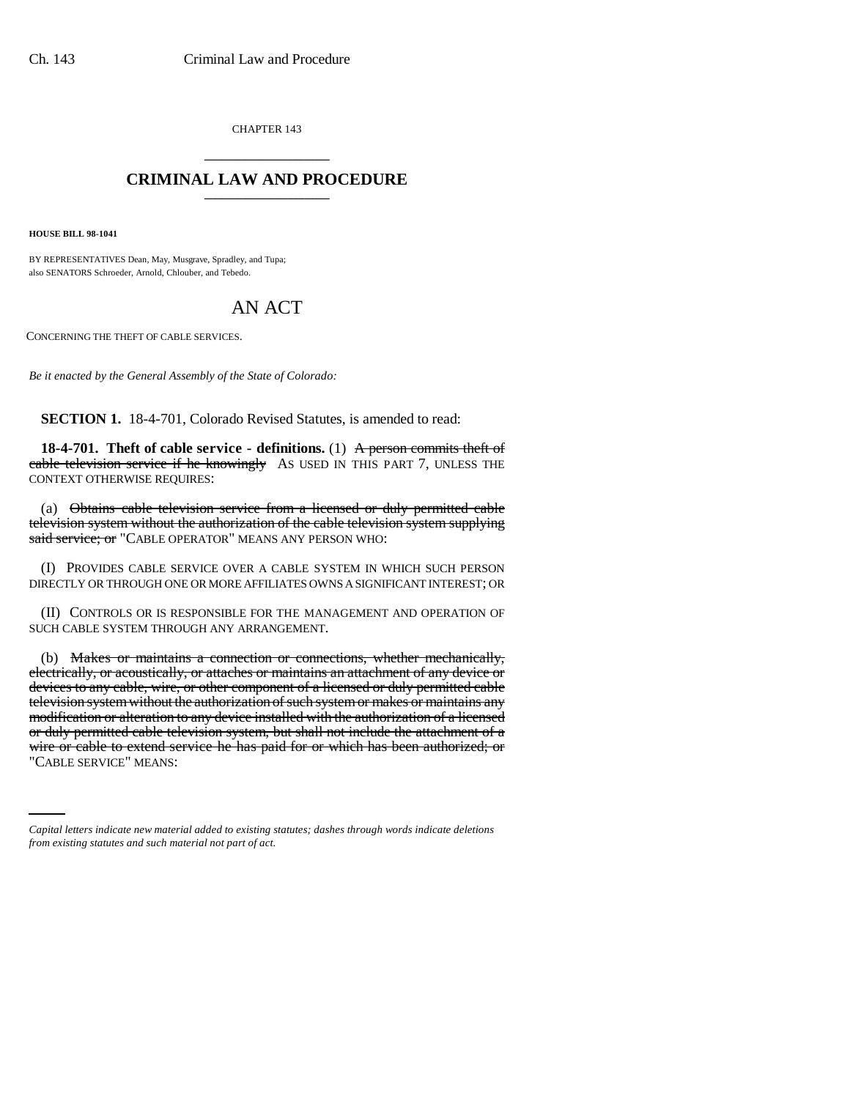CHAPTER 143 \_\_\_\_\_\_\_\_\_\_\_\_\_\_\_

## **CRIMINAL LAW AND PROCEDURE** \_\_\_\_\_\_\_\_\_\_\_\_\_\_\_

**HOUSE BILL 98-1041**

BY REPRESENTATIVES Dean, May, Musgrave, Spradley, and Tupa; also SENATORS Schroeder, Arnold, Chlouber, and Tebedo.

## AN ACT

CONCERNING THE THEFT OF CABLE SERVICES.

*Be it enacted by the General Assembly of the State of Colorado:*

**SECTION 1.** 18-4-701, Colorado Revised Statutes, is amended to read:

**18-4-701.** Theft of cable service - definitions. (1) A person commits theft of cable television service if he knowingly AS USED IN THIS PART 7, UNLESS THE CONTEXT OTHERWISE REQUIRES:

(a) Obtains cable television service from a licensed or duly permitted cable television system without the authorization of the cable television system supplying said service; or "CABLE OPERATOR" MEANS ANY PERSON WHO:

(I) PROVIDES CABLE SERVICE OVER A CABLE SYSTEM IN WHICH SUCH PERSON DIRECTLY OR THROUGH ONE OR MORE AFFILIATES OWNS A SIGNIFICANT INTEREST; OR

(II) CONTROLS OR IS RESPONSIBLE FOR THE MANAGEMENT AND OPERATION OF SUCH CABLE SYSTEM THROUGH ANY ARRANGEMENT.

wire or cable to extend service he has paid for or which has been authorized; or (b) Makes or maintains a connection or connections, whether mechanically, electrically, or acoustically, or attaches or maintains an attachment of any device or devices to any cable, wire, or other component of a licensed or duly permitted cable television system without the authorization of such system or makes or maintains any modification or alteration to any device installed with the authorization of a licensed or duly permitted cable television system, but shall not include the attachment of a "CABLE SERVICE" MEANS:

*Capital letters indicate new material added to existing statutes; dashes through words indicate deletions from existing statutes and such material not part of act.*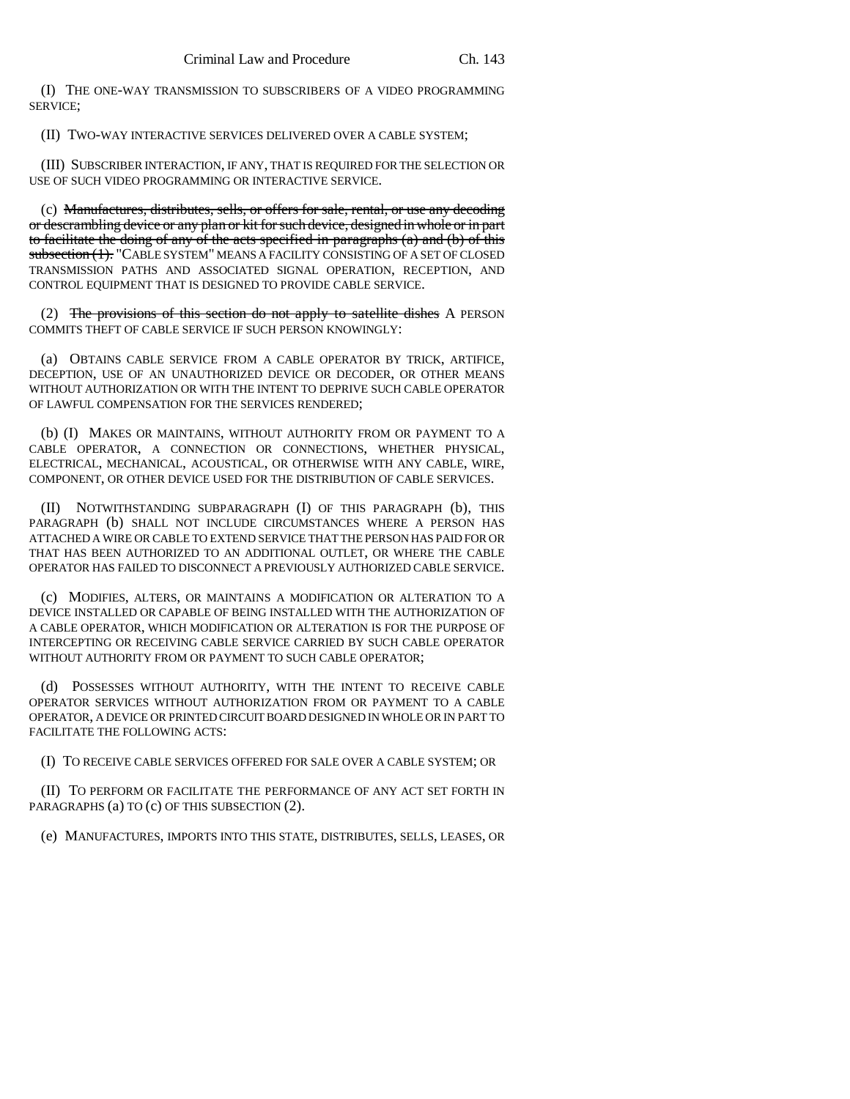(I) THE ONE-WAY TRANSMISSION TO SUBSCRIBERS OF A VIDEO PROGRAMMING SERVICE;

(II) TWO-WAY INTERACTIVE SERVICES DELIVERED OVER A CABLE SYSTEM;

(III) SUBSCRIBER INTERACTION, IF ANY, THAT IS REQUIRED FOR THE SELECTION OR USE OF SUCH VIDEO PROGRAMMING OR INTERACTIVE SERVICE.

(c) Manufactures, distributes, sells, or offers for sale, rental, or use any decoding or descrambling device or any plan or kit for such device, designed in whole or in part to facilitate the doing of any of the acts specified in paragraphs (a) and (b) of this subsection (1). "CABLE SYSTEM" MEANS A FACILITY CONSISTING OF A SET OF CLOSED TRANSMISSION PATHS AND ASSOCIATED SIGNAL OPERATION, RECEPTION, AND CONTROL EQUIPMENT THAT IS DESIGNED TO PROVIDE CABLE SERVICE.

(2) The provisions of this section do not apply to satellite dishes A PERSON COMMITS THEFT OF CABLE SERVICE IF SUCH PERSON KNOWINGLY:

(a) OBTAINS CABLE SERVICE FROM A CABLE OPERATOR BY TRICK, ARTIFICE, DECEPTION, USE OF AN UNAUTHORIZED DEVICE OR DECODER, OR OTHER MEANS WITHOUT AUTHORIZATION OR WITH THE INTENT TO DEPRIVE SUCH CABLE OPERATOR OF LAWFUL COMPENSATION FOR THE SERVICES RENDERED;

(b) (I) MAKES OR MAINTAINS, WITHOUT AUTHORITY FROM OR PAYMENT TO A CABLE OPERATOR, A CONNECTION OR CONNECTIONS, WHETHER PHYSICAL, ELECTRICAL, MECHANICAL, ACOUSTICAL, OR OTHERWISE WITH ANY CABLE, WIRE, COMPONENT, OR OTHER DEVICE USED FOR THE DISTRIBUTION OF CABLE SERVICES.

(II) NOTWITHSTANDING SUBPARAGRAPH (I) OF THIS PARAGRAPH (b), THIS PARAGRAPH (b) SHALL NOT INCLUDE CIRCUMSTANCES WHERE A PERSON HAS ATTACHED A WIRE OR CABLE TO EXTEND SERVICE THAT THE PERSON HAS PAID FOR OR THAT HAS BEEN AUTHORIZED TO AN ADDITIONAL OUTLET, OR WHERE THE CABLE OPERATOR HAS FAILED TO DISCONNECT A PREVIOUSLY AUTHORIZED CABLE SERVICE.

(c) MODIFIES, ALTERS, OR MAINTAINS A MODIFICATION OR ALTERATION TO A DEVICE INSTALLED OR CAPABLE OF BEING INSTALLED WITH THE AUTHORIZATION OF A CABLE OPERATOR, WHICH MODIFICATION OR ALTERATION IS FOR THE PURPOSE OF INTERCEPTING OR RECEIVING CABLE SERVICE CARRIED BY SUCH CABLE OPERATOR WITHOUT AUTHORITY FROM OR PAYMENT TO SUCH CABLE OPERATOR;

(d) POSSESSES WITHOUT AUTHORITY, WITH THE INTENT TO RECEIVE CABLE OPERATOR SERVICES WITHOUT AUTHORIZATION FROM OR PAYMENT TO A CABLE OPERATOR, A DEVICE OR PRINTED CIRCUIT BOARD DESIGNED IN WHOLE OR IN PART TO FACILITATE THE FOLLOWING ACTS:

(I) TO RECEIVE CABLE SERVICES OFFERED FOR SALE OVER A CABLE SYSTEM; OR

(II) TO PERFORM OR FACILITATE THE PERFORMANCE OF ANY ACT SET FORTH IN PARAGRAPHS (a) TO (c) OF THIS SUBSECTION (2).

(e) MANUFACTURES, IMPORTS INTO THIS STATE, DISTRIBUTES, SELLS, LEASES, OR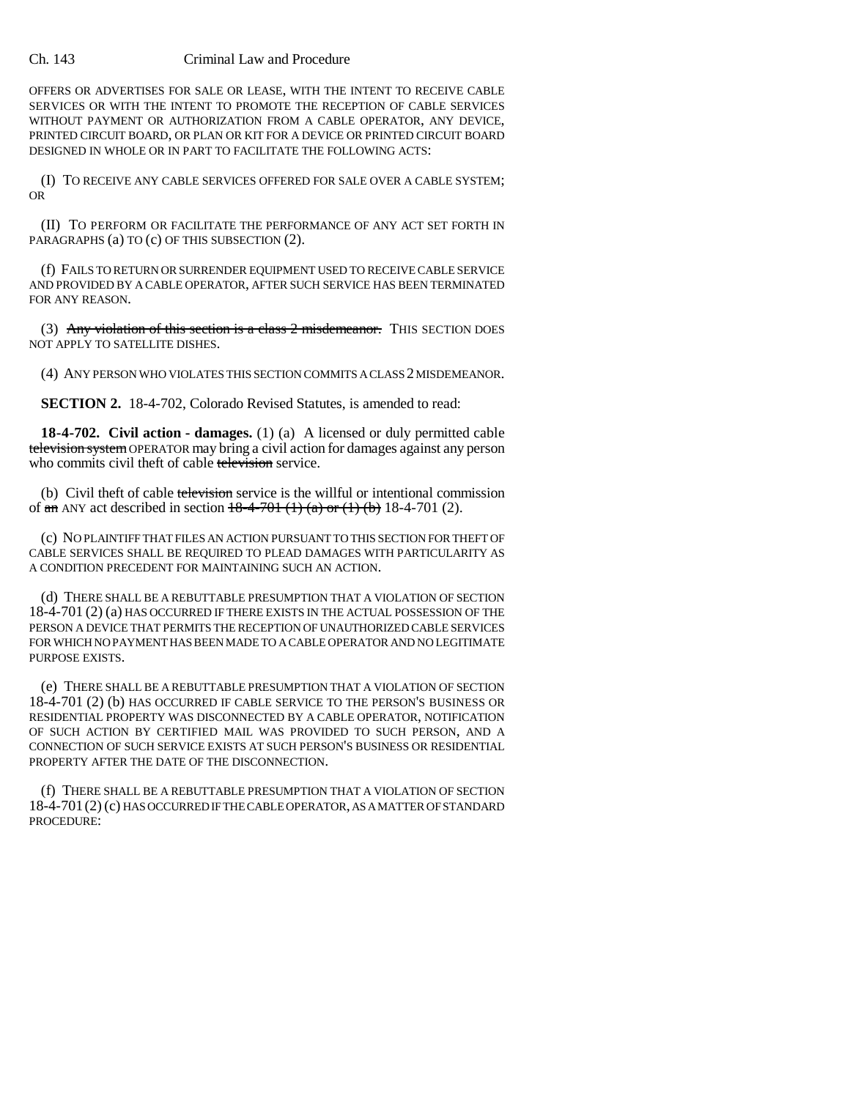## Ch. 143 Criminal Law and Procedure

OFFERS OR ADVERTISES FOR SALE OR LEASE, WITH THE INTENT TO RECEIVE CABLE SERVICES OR WITH THE INTENT TO PROMOTE THE RECEPTION OF CABLE SERVICES WITHOUT PAYMENT OR AUTHORIZATION FROM A CABLE OPERATOR, ANY DEVICE, PRINTED CIRCUIT BOARD, OR PLAN OR KIT FOR A DEVICE OR PRINTED CIRCUIT BOARD DESIGNED IN WHOLE OR IN PART TO FACILITATE THE FOLLOWING ACTS:

(I) TO RECEIVE ANY CABLE SERVICES OFFERED FOR SALE OVER A CABLE SYSTEM; OR

(II) TO PERFORM OR FACILITATE THE PERFORMANCE OF ANY ACT SET FORTH IN PARAGRAPHS (a) TO (c) OF THIS SUBSECTION (2).

(f) FAILS TO RETURN OR SURRENDER EQUIPMENT USED TO RECEIVE CABLE SERVICE AND PROVIDED BY A CABLE OPERATOR, AFTER SUCH SERVICE HAS BEEN TERMINATED FOR ANY REASON.

(3) Any violation of this section is a class  $2$  misdemeanor. This SECTION DOES NOT APPLY TO SATELLITE DISHES.

(4) ANY PERSON WHO VIOLATES THIS SECTION COMMITS A CLASS 2 MISDEMEANOR.

**SECTION 2.** 18-4-702, Colorado Revised Statutes, is amended to read:

**18-4-702. Civil action - damages.** (1) (a) A licensed or duly permitted cable television system OPERATOR may bring a civil action for damages against any person who commits civil theft of cable television service.

(b) Civil theft of cable television service is the willful or intentional commission of  $\frac{1}{2}$  an ANY act described in section  $\frac{18-4-701(1)}{3}$  (a) or (1) (b) 18-4-701 (2).

(c) NO PLAINTIFF THAT FILES AN ACTION PURSUANT TO THIS SECTION FOR THEFT OF CABLE SERVICES SHALL BE REQUIRED TO PLEAD DAMAGES WITH PARTICULARITY AS A CONDITION PRECEDENT FOR MAINTAINING SUCH AN ACTION.

(d) THERE SHALL BE A REBUTTABLE PRESUMPTION THAT A VIOLATION OF SECTION 18-4-701 (2) (a) HAS OCCURRED IF THERE EXISTS IN THE ACTUAL POSSESSION OF THE PERSON A DEVICE THAT PERMITS THE RECEPTION OF UNAUTHORIZED CABLE SERVICES FOR WHICH NO PAYMENT HAS BEEN MADE TO A CABLE OPERATOR AND NO LEGITIMATE PURPOSE EXISTS.

(e) THERE SHALL BE A REBUTTABLE PRESUMPTION THAT A VIOLATION OF SECTION 18-4-701 (2) (b) HAS OCCURRED IF CABLE SERVICE TO THE PERSON'S BUSINESS OR RESIDENTIAL PROPERTY WAS DISCONNECTED BY A CABLE OPERATOR, NOTIFICATION OF SUCH ACTION BY CERTIFIED MAIL WAS PROVIDED TO SUCH PERSON, AND A CONNECTION OF SUCH SERVICE EXISTS AT SUCH PERSON'S BUSINESS OR RESIDENTIAL PROPERTY AFTER THE DATE OF THE DISCONNECTION.

(f) THERE SHALL BE A REBUTTABLE PRESUMPTION THAT A VIOLATION OF SECTION 18-4-701(2) (c) HAS OCCURRED IF THE CABLE OPERATOR, AS A MATTER OF STANDARD PROCEDURE: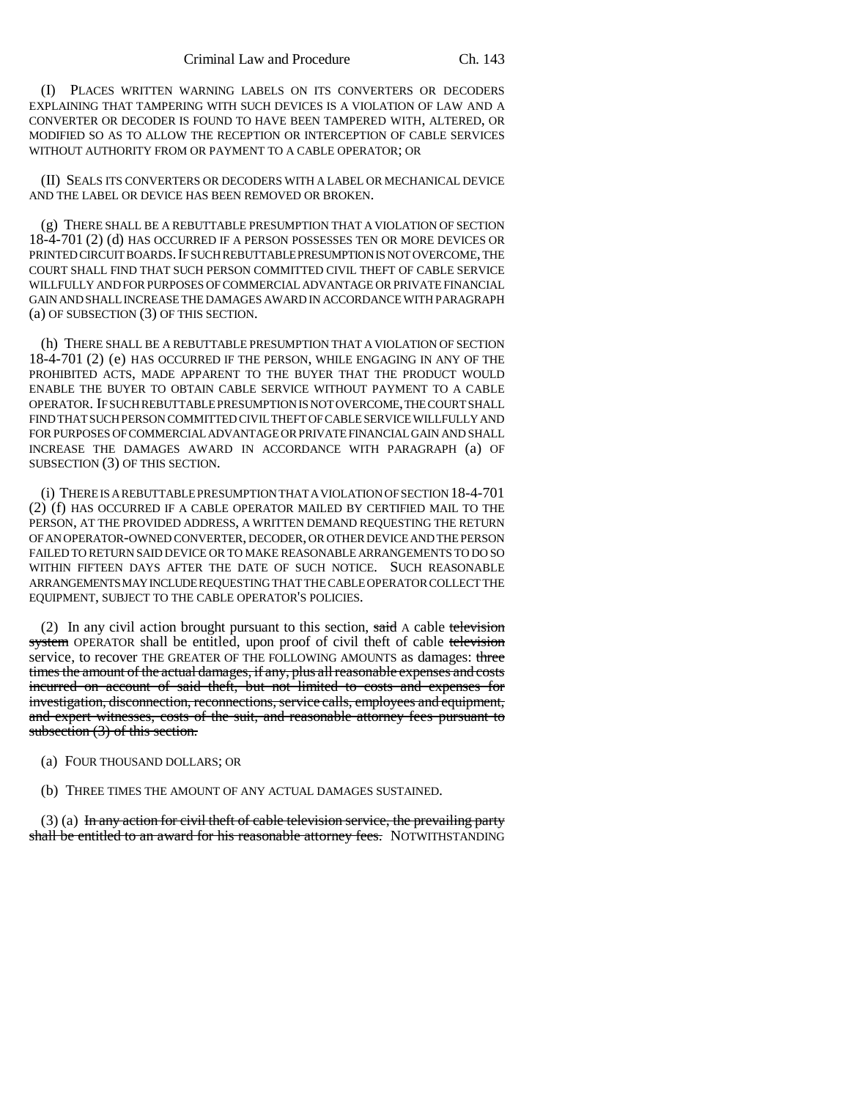(I) PLACES WRITTEN WARNING LABELS ON ITS CONVERTERS OR DECODERS EXPLAINING THAT TAMPERING WITH SUCH DEVICES IS A VIOLATION OF LAW AND A CONVERTER OR DECODER IS FOUND TO HAVE BEEN TAMPERED WITH, ALTERED, OR MODIFIED SO AS TO ALLOW THE RECEPTION OR INTERCEPTION OF CABLE SERVICES WITHOUT AUTHORITY FROM OR PAYMENT TO A CABLE OPERATOR; OR

(II) SEALS ITS CONVERTERS OR DECODERS WITH A LABEL OR MECHANICAL DEVICE AND THE LABEL OR DEVICE HAS BEEN REMOVED OR BROKEN.

(g) THERE SHALL BE A REBUTTABLE PRESUMPTION THAT A VIOLATION OF SECTION 18-4-701 (2) (d) HAS OCCURRED IF A PERSON POSSESSES TEN OR MORE DEVICES OR PRINTED CIRCUIT BOARDS. IF SUCH REBUTTABLE PRESUMPTION IS NOT OVERCOME, THE COURT SHALL FIND THAT SUCH PERSON COMMITTED CIVIL THEFT OF CABLE SERVICE WILLFULLY AND FOR PURPOSES OF COMMERCIAL ADVANTAGE OR PRIVATE FINANCIAL GAIN AND SHALL INCREASE THE DAMAGES AWARD IN ACCORDANCE WITH PARAGRAPH (a) OF SUBSECTION (3) OF THIS SECTION.

(h) THERE SHALL BE A REBUTTABLE PRESUMPTION THAT A VIOLATION OF SECTION 18-4-701 (2) (e) HAS OCCURRED IF THE PERSON, WHILE ENGAGING IN ANY OF THE PROHIBITED ACTS, MADE APPARENT TO THE BUYER THAT THE PRODUCT WOULD ENABLE THE BUYER TO OBTAIN CABLE SERVICE WITHOUT PAYMENT TO A CABLE OPERATOR. IF SUCH REBUTTABLE PRESUMPTION IS NOT OVERCOME, THE COURT SHALL FIND THAT SUCH PERSON COMMITTED CIVIL THEFT OF CABLE SERVICE WILLFULLY AND FOR PURPOSES OF COMMERCIAL ADVANTAGE OR PRIVATE FINANCIAL GAIN AND SHALL INCREASE THE DAMAGES AWARD IN ACCORDANCE WITH PARAGRAPH (a) OF SUBSECTION (3) OF THIS SECTION.

(i) THERE IS A REBUTTABLE PRESUMPTION THAT A VIOLATION OF SECTION 18-4-701 (2) (f) HAS OCCURRED IF A CABLE OPERATOR MAILED BY CERTIFIED MAIL TO THE PERSON, AT THE PROVIDED ADDRESS, A WRITTEN DEMAND REQUESTING THE RETURN OF AN OPERATOR-OWNED CONVERTER, DECODER, OR OTHER DEVICE AND THE PERSON FAILED TO RETURN SAID DEVICE OR TO MAKE REASONABLE ARRANGEMENTS TO DO SO WITHIN FIFTEEN DAYS AFTER THE DATE OF SUCH NOTICE. SUCH REASONABLE ARRANGEMENTS MAY INCLUDE REQUESTING THAT THE CABLE OPERATOR COLLECT THE EQUIPMENT, SUBJECT TO THE CABLE OPERATOR'S POLICIES.

(2) In any civil action brought pursuant to this section, said A cable television system OPERATOR shall be entitled, upon proof of civil theft of cable television service, to recover THE GREATER OF THE FOLLOWING AMOUNTS as damages: three times the amount of the actual damages, if any, plus all reasonable expenses and costs incurred on account of said theft, but not limited to costs and expenses for investigation, disconnection, reconnections, service calls, employees and equipment, and expert witnesses, costs of the suit, and reasonable attorney fees pursuant to subsection (3) of this section.

- (a) FOUR THOUSAND DOLLARS; OR
- (b) THREE TIMES THE AMOUNT OF ANY ACTUAL DAMAGES SUSTAINED.

(3) (a) In any action for civil theft of cable television service, the prevailing party shall be entitled to an award for his reasonable attorney fees. NOTWITHSTANDING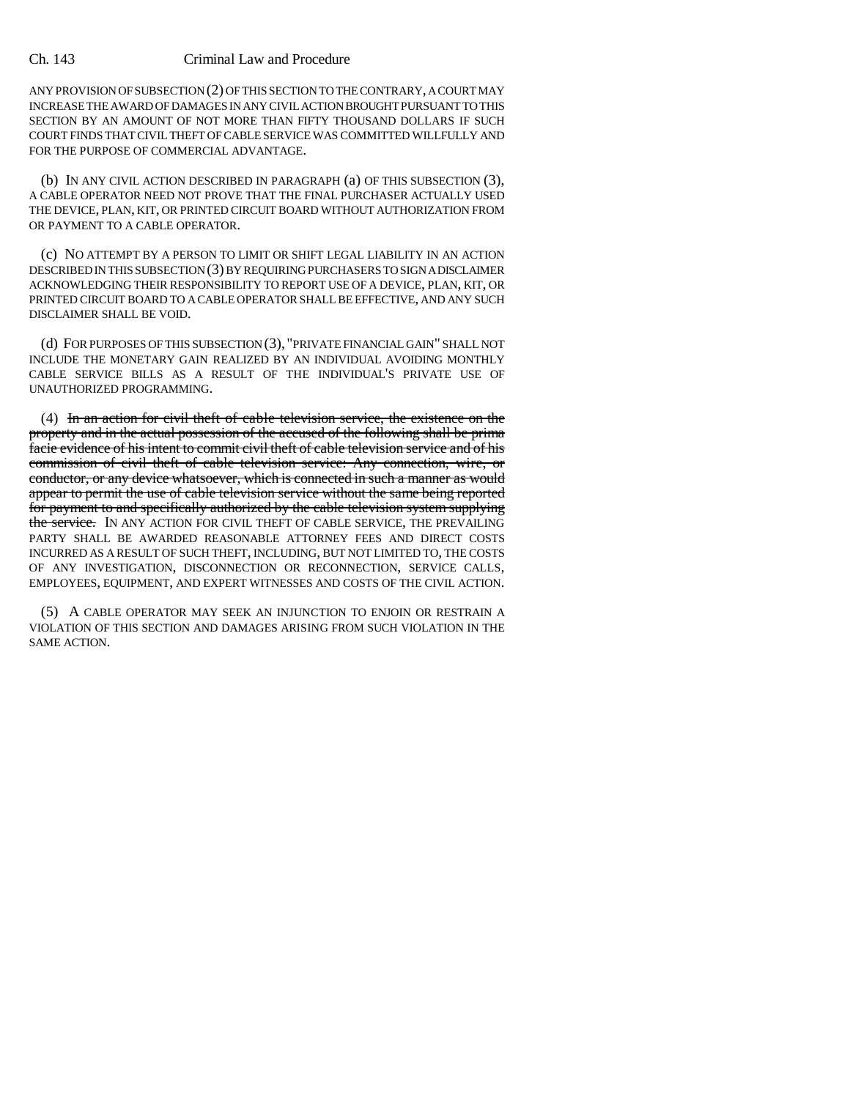## Ch. 143 Criminal Law and Procedure

ANY PROVISION OF SUBSECTION (2) OF THIS SECTION TO THE CONTRARY, A COURT MAY INCREASE THE AWARD OF DAMAGES IN ANY CIVIL ACTION BROUGHT PURSUANT TO THIS SECTION BY AN AMOUNT OF NOT MORE THAN FIFTY THOUSAND DOLLARS IF SUCH COURT FINDS THAT CIVIL THEFT OF CABLE SERVICE WAS COMMITTED WILLFULLY AND FOR THE PURPOSE OF COMMERCIAL ADVANTAGE.

(b) IN ANY CIVIL ACTION DESCRIBED IN PARAGRAPH (a) OF THIS SUBSECTION (3), A CABLE OPERATOR NEED NOT PROVE THAT THE FINAL PURCHASER ACTUALLY USED THE DEVICE, PLAN, KIT, OR PRINTED CIRCUIT BOARD WITHOUT AUTHORIZATION FROM OR PAYMENT TO A CABLE OPERATOR.

(c) NO ATTEMPT BY A PERSON TO LIMIT OR SHIFT LEGAL LIABILITY IN AN ACTION DESCRIBED IN THIS SUBSECTION (3) BY REQUIRING PURCHASERS TO SIGN A DISCLAIMER ACKNOWLEDGING THEIR RESPONSIBILITY TO REPORT USE OF A DEVICE, PLAN, KIT, OR PRINTED CIRCUIT BOARD TO A CABLE OPERATOR SHALL BE EFFECTIVE, AND ANY SUCH DISCLAIMER SHALL BE VOID.

(d) FOR PURPOSES OF THIS SUBSECTION (3), "PRIVATE FINANCIAL GAIN" SHALL NOT INCLUDE THE MONETARY GAIN REALIZED BY AN INDIVIDUAL AVOIDING MONTHLY CABLE SERVICE BILLS AS A RESULT OF THE INDIVIDUAL'S PRIVATE USE OF UNAUTHORIZED PROGRAMMING.

(4) In an action for civil theft of cable television service, the existence on the property and in the actual possession of the accused of the following shall be prima facie evidence of his intent to commit civil theft of cable television service and of his commission of civil theft of cable television service: Any connection, wire, or conductor, or any device whatsoever, which is connected in such a manner as would appear to permit the use of cable television service without the same being reported for payment to and specifically authorized by the cable television system supplying the service. IN ANY ACTION FOR CIVIL THEFT OF CABLE SERVICE, THE PREVAILING PARTY SHALL BE AWARDED REASONABLE ATTORNEY FEES AND DIRECT COSTS INCURRED AS A RESULT OF SUCH THEFT, INCLUDING, BUT NOT LIMITED TO, THE COSTS OF ANY INVESTIGATION, DISCONNECTION OR RECONNECTION, SERVICE CALLS, EMPLOYEES, EQUIPMENT, AND EXPERT WITNESSES AND COSTS OF THE CIVIL ACTION.

(5) A CABLE OPERATOR MAY SEEK AN INJUNCTION TO ENJOIN OR RESTRAIN A VIOLATION OF THIS SECTION AND DAMAGES ARISING FROM SUCH VIOLATION IN THE SAME ACTION.